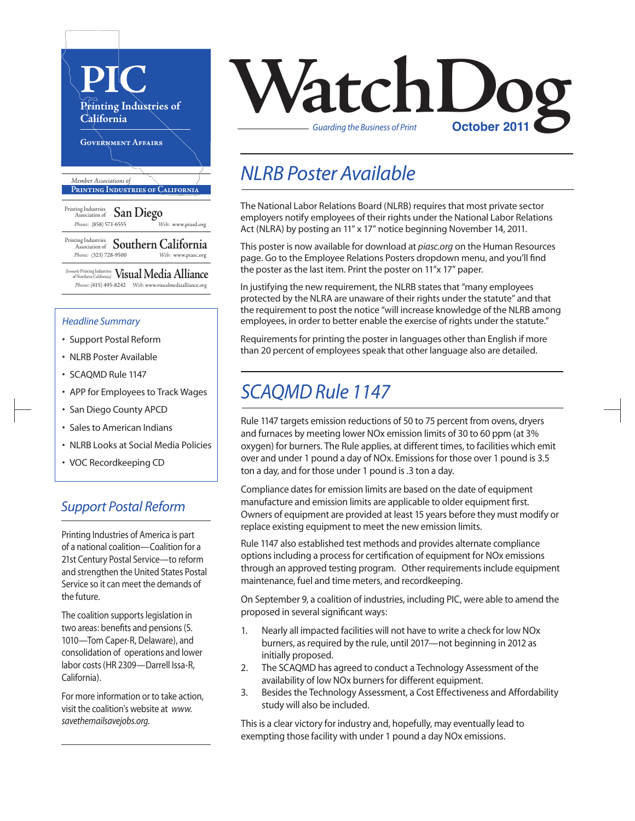

#### *Headline Summary*

- Support Postal Reform
- NLRB Poster Available
- SCAQMD Rule 1147
- APP for Employees to Track Wages
- San Diego County APCD
- Sales to American Indians
- NLRB Looks at Social Media Policies
- VOC Recordkeeping CD

### *Support Postal Reform*

Printing Industries of America is part of a national coalition—Coalition for a 21st Century Postal Service—to reform and strengthen the United States Postal Service so it can meet the demands of the future.

The coalition supports legislation in two areas: benefits and pensions (S. 1010—Tom Caper-R, Delaware), and consolidation of operations and lower labor costs (HR 2309—Darrell Issa-R, California).

For more information or to take action, visit the coalition's website at *www. savethemailsavejobs.org.*

# **VatchLoo** *Guarding the Business of Print*

# *NLRB Poster Available*

The National Labor Relations Board (NLRB) requires that most private sector employers notify employees of their rights under the National Labor Relations Act (NLRA) by posting an 11" x 17" notice beginning November 14, 2011.

This poster is now available for download at *piasc.org* on the Human Resources page. Go to the Employee Relations Posters dropdown menu, and you'll find the poster as the last item. Print the poster on 11"x 17" paper.

In justifying the new requirement, the NLRB states that "many employees protected by the NLRA are unaware of their rights under the statute" and that the requirement to post the notice "will increase knowledge of the NLRB among employees, in order to better enable the exercise of rights under the statute."

Requirements for printing the poster in languages other than English if more than 20 percent of employees speak that other language also are detailed.

## *SCAQMD Rule 1147*

Rule 1147 targets emission reductions of 50 to 75 percent from ovens, dryers and furnaces by meeting lower NOx emission limits of 30 to 60 ppm (at 3% oxygen) for burners. The Rule applies, at different times, to facilities which emit over and under 1 pound a day of NOx. Emissions for those over 1 pound is 3.5 ton a day, and for those under 1 pound is .3 ton a day.

Compliance dates for emission limits are based on the date of equipment manufacture and emission limits are applicable to older equipment first. Owners of equipment are provided at least 15 years before they must modify or replace existing equipment to meet the new emission limits.

Rule 1147 also established test methods and provides alternate compliance options including a process for certification of equipment for NO<sub>x</sub> emissions through an approved testing program. Other requirements include equipment maintenance, fuel and time meters, and recordkeeping.

On September 9, a coalition of industries, including PIC, were able to amend the proposed in several significant ways:

- 1. Nearly all impacted facilities will not have to write a check for low NOx burners, as required by the rule, until 2017—not beginning in 2012 as initially proposed.
- 2. The SCAQMD has agreed to conduct a Technology Assessment of the availability of low NOx burners for different equipment.
- 3. Besides the Technology Assessment, a Cost Effectiveness and Affordability study will also be included.

This is a clear victory for industry and, hopefully, may eventually lead to exempting those facility with under 1 pound a day NOx emissions.